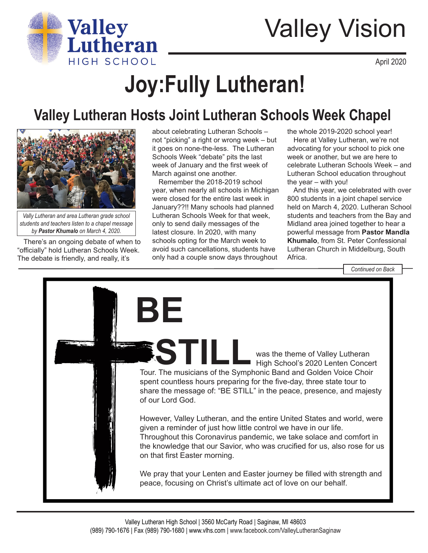

## Valley Vision

April 2020

# **Joy:Fully Lutheran!**

### **Valley Lutheran Hosts Joint Lutheran Schools Week Chapel**



*Vally Lutheran and area Lutheran grade school students and teachers listen to a chapel message by Pastor Khumalo on March 4, 2020.*

There's an ongoing debate of when to "officially" hold Lutheran Schools Week. The debate is friendly, and really, it's

about celebrating Lutheran Schools – not "picking" a right or wrong week – but it goes on none-the-less. The Lutheran Schools Week "debate" pits the last week of January and the first week of March against one another.

Remember the 2018-2019 school year, when nearly all schools in Michigan were closed for the entire last week in January??!! Many schools had planned Lutheran Schools Week for that week, only to send daily messages of the latest closure. In 2020, with many schools opting for the March week to avoid such cancellations, students have only had a couple snow days throughout

the whole 2019-2020 school year!

Here at Valley Lutheran, we're not advocating for your school to pick one week or another, but we are here to celebrate Lutheran Schools Week – and Lutheran School education throughout the year – with you!

And this year, we celebrated with over 800 students in a joint chapel service held on March 4, 2020. Lutheran School students and teachers from the Bay and Midland area joined together to hear a powerful message from **Pastor Mandla Khumalo**, from St. Peter Confessional Lutheran Church in Middelburg, South Africa.

*Continued on Back*